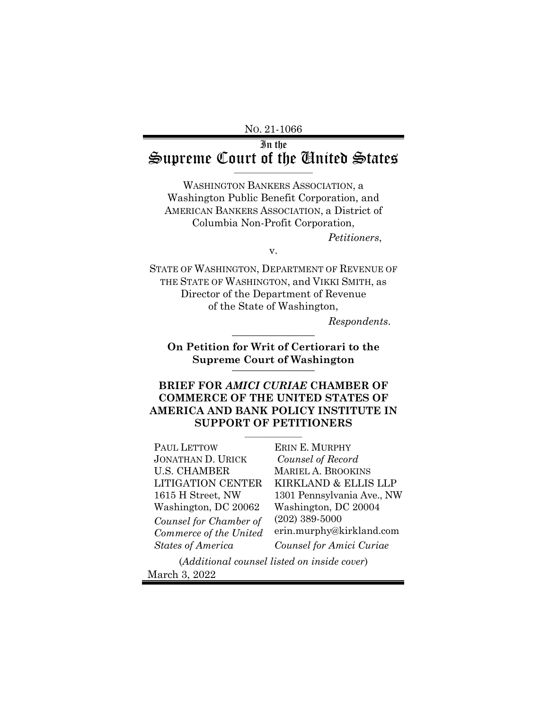NO. 21-1066

In the  $\mathcal{L}_1$  supreme Court of the United States

WASHINGTON BANKERS ASSOCIATION, a Washington Public Benefit Corporation, and AMERICAN BANKERS ASSOCIATION, a District of Columbia Non-Profit Corporation,

*Petitioners*,

v.

STATE OF WASHINGTON, DEPARTMENT OF REVENUE OF THE STATE OF WASHINGTON, and VIKKI SMITH, as Director of the Department of Revenue of the State of Washington,

*Respondents*. \_\_\_\_\_\_\_\_\_\_\_\_\_\_\_\_

**On Petition for Writ of Certiorari to the Supreme Court of Washington** \_\_\_\_\_\_\_\_\_\_\_\_\_\_\_\_

## **BRIEF FOR** *AMICI CURIAE* **CHAMBER OF COMMERCE OF THE UNITED STATES OF AMERICA AND BANK POLICY INSTITUTE IN SUPPORT OF PETITIONERS**

 $\overline{\phantom{a}}$  , where  $\overline{\phantom{a}}$ 

PAUL LETTOW JONATHAN D. URICK U.S. CHAMBER LITIGATION CENTER 1615 H Street, NW Washington, DC 20062 *Counsel for Chamber of Commerce of the United States of America*

ERIN E. MURPHY *Counsel of Record* MARIEL A. BROOKINS KIRKLAND & ELLIS LLP 1301 Pennsylvania Ave., NW Washington, DC 20004 (202) 389-5000 [erin.murphy@kirkland.com](mailto:erin.murphy@kirkland.com) *Counsel for Amici Curiae*

(*Additional counsel listed on inside cover*) March 3, 2022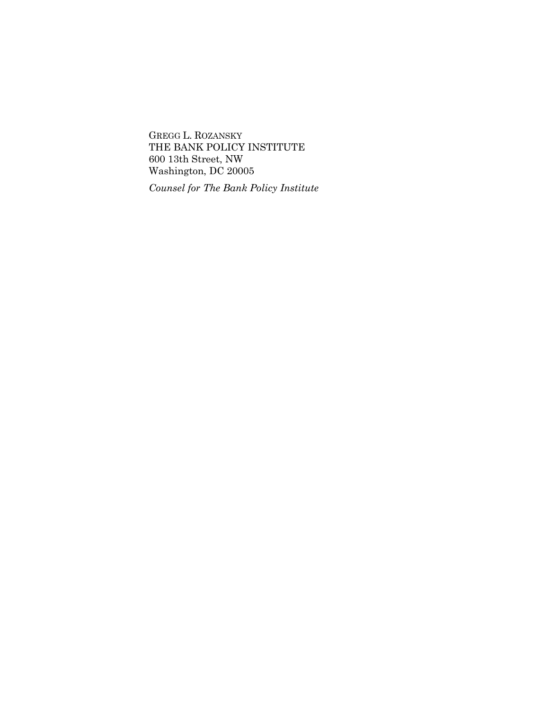GREGG L. ROZANSKY THE BANK POLICY INSTITUTE 600 13th Street, NW Washington, DC 20005

*Counsel for The Bank Policy Institute*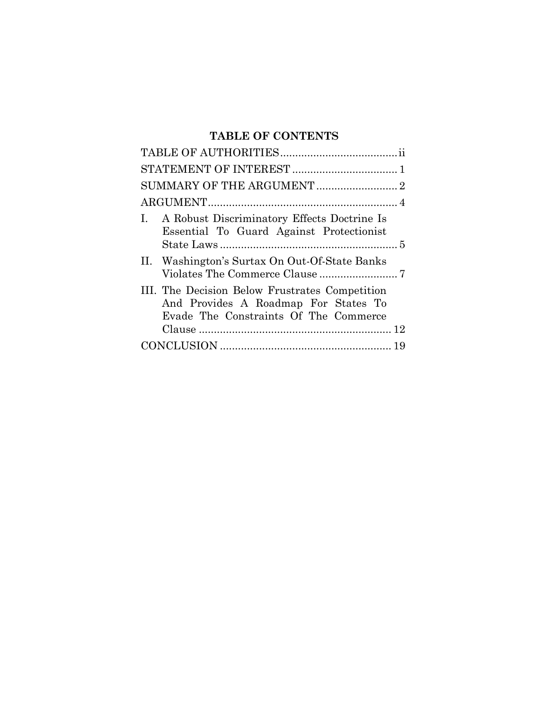## **TABLE OF CONTENTS**

| I. A Robust Discriminatory Effects Doctrine Is<br>Essential To Guard Against Protectionist                                      |
|---------------------------------------------------------------------------------------------------------------------------------|
| II. Washington's Surtax On Out-Of-State Banks                                                                                   |
| III. The Decision Below Frustrates Competition<br>And Provides A Roadmap For States To<br>Evade The Constraints Of The Commerce |
|                                                                                                                                 |
|                                                                                                                                 |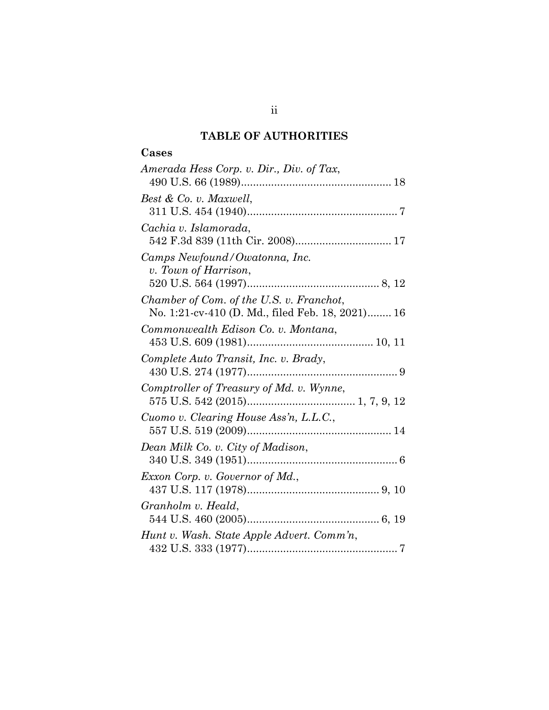## **TABLE OF AUTHORITIES**

# **Cases**

| Amerada Hess Corp. v. Dir., Div. of Tax,              |
|-------------------------------------------------------|
| Best & Co. v. Maxwell,                                |
| Cachia v. Islamorada,                                 |
| Camps Newfound/Owatonna, Inc.<br>v. Town of Harrison, |
| Chamber of Com. of the U.S. v. Franchot,              |
| No. 1:21-cv-410 (D. Md., filed Feb. 18, 2021) 16      |
| Commonwealth Edison Co. v. Montana,                   |
| Complete Auto Transit, Inc. v. Brady,                 |
| Comptroller of Treasury of Md. v. Wynne,              |
| Cuomo v. Clearing House Ass'n, L.L.C.,                |
| Dean Milk Co. v. City of Madison,                     |
| Exxon Corp. v. Governor of Md.,                       |
| Granholm v. Heald,                                    |
| Hunt v. Wash. State Apple Advert. Comm'n,             |
|                                                       |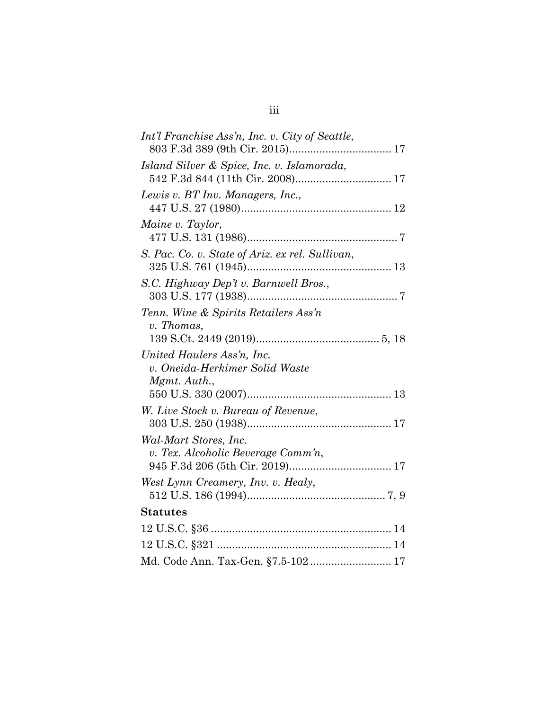| Int'l Franchise Ass'n, Inc. v. City of Seattle,                              |
|------------------------------------------------------------------------------|
| Island Silver & Spice, Inc. v. Islamorada,                                   |
| Lewis v. BT Inv. Managers, Inc.,                                             |
| Maine v. Taylor,                                                             |
| S. Pac. Co. v. State of Ariz. ex rel. Sullivan,                              |
| S.C. Highway Dep't v. Barnwell Bros.,                                        |
| Tenn. Wine & Spirits Retailers Ass'n                                         |
| v. Thomas,                                                                   |
| United Haulers Ass'n, Inc.<br>v. Oneida-Herkimer Solid Waste<br>Mgmt. Auth., |
|                                                                              |
| W. Live Stock v. Bureau of Revenue,                                          |
| Wal-Mart Stores, Inc.<br>v. Tex. Alcoholic Beverage Comm'n,                  |
| West Lynn Creamery, Inv. v. Healy,                                           |
| <b>Statutes</b>                                                              |
|                                                                              |
|                                                                              |
| Md. Code Ann. Tax-Gen. §7.5-102 17                                           |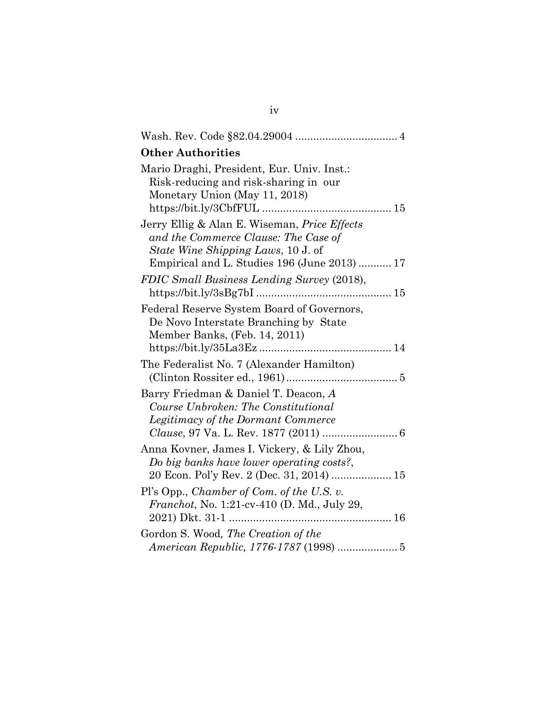| <b>Other Authorities</b>                                                                                                                                                          |
|-----------------------------------------------------------------------------------------------------------------------------------------------------------------------------------|
| Mario Draghi, President, Eur. Univ. Inst.:<br>Risk-reducing and risk-sharing in our<br>Monetary Union (May 11, 2018)                                                              |
| Jerry Ellig & Alan E. Wiseman, Price Effects<br>and the Commerce Clause: The Case of<br><i>State Wine Shipping Laws, 10 J. of</i><br>Empirical and L. Studies 196 (June 2013)  17 |
| FDIC Small Business Lending Survey (2018),<br>https://bit.ly/3sBg7bI                                                                                                              |
| Federal Reserve System Board of Governors,<br>De Novo Interstate Branching by State<br>Member Banks, (Feb. 14, 2011)                                                              |
| The Federalist No. 7 (Alexander Hamilton)                                                                                                                                         |
| Barry Friedman & Daniel T. Deacon, A<br>Course Unbroken: The Constitutional<br>Legitimacy of the Dormant Commerce                                                                 |
| Anna Kovner, James I. Vickery, & Lily Zhou,<br>Do big banks have lower operating costs?,<br>20 Econ. Pol'y Rev. 2 (Dec. 31, 2014)  15                                             |
| Pl's Opp., Chamber of Com. of the U.S. v.<br><i>Franchot</i> , No. 1:21-cv-410 (D. Md., July 29,<br>2021) Dkt. 31-1<br>. 16                                                       |
| Gordon S. Wood, The Creation of the<br>American Republic, 1776-1787 (1998)  5                                                                                                     |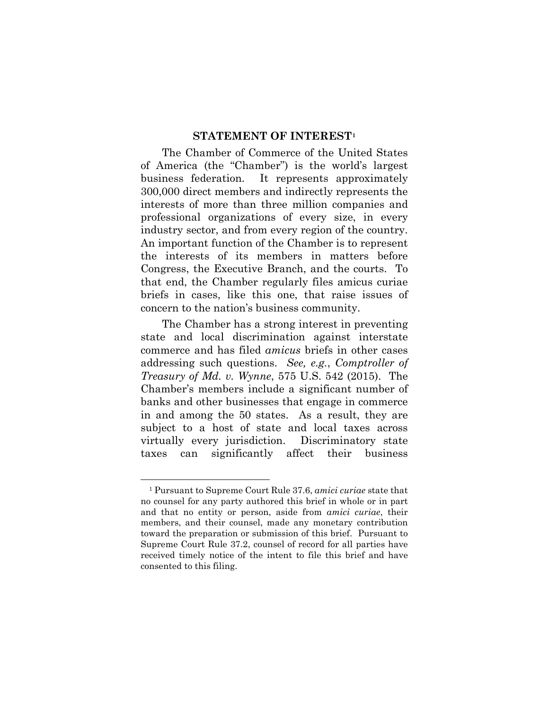#### **STATEMENT OF INTEREST[1](#page-6-0)**

The Chamber of Commerce of the United States of America (the "Chamber") is the world's largest business federation. It represents approximately 300,000 direct members and indirectly represents the interests of more than three million companies and professional organizations of every size, in every industry sector, and from every region of the country. An important function of the Chamber is to represent the interests of its members in matters before Congress, the Executive Branch, and the courts. To that end, the Chamber regularly files amicus curiae briefs in cases, like this one, that raise issues of concern to the nation's business community.

The Chamber has a strong interest in preventing state and local discrimination against interstate commerce and has filed *amicus* briefs in other cases addressing such questions. *See, e.g.*, *Comptroller of Treasury of Md. v. Wynne*, 575 U.S. 542 (2015). The Chamber's members include a significant number of banks and other businesses that engage in commerce in and among the 50 states. As a result, they are subject to a host of state and local taxes across virtually every jurisdiction. Discriminatory state taxes can significantly affect their business

<u>.</u>

<span id="page-6-0"></span><sup>1</sup> Pursuant to Supreme Court Rule 37.6, *amici curiae* state that no counsel for any party authored this brief in whole or in part and that no entity or person, aside from *amici curiae*, their members, and their counsel, made any monetary contribution toward the preparation or submission of this brief. Pursuant to Supreme Court Rule 37.2, counsel of record for all parties have received timely notice of the intent to file this brief and have consented to this filing.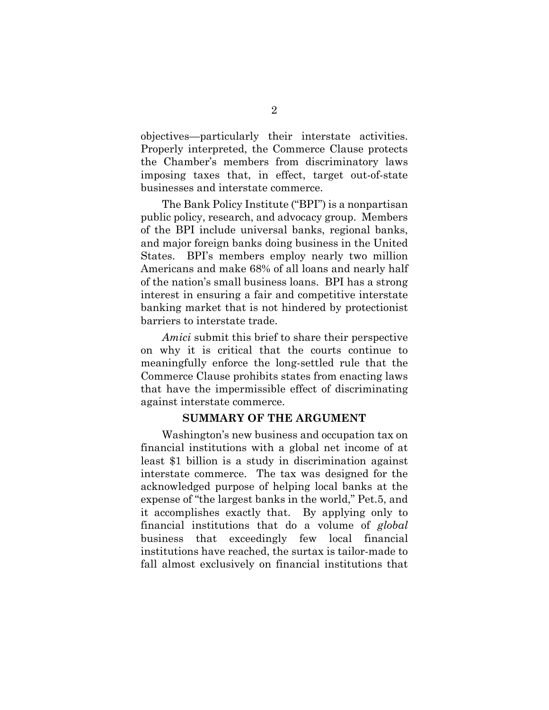objectives—particularly their interstate activities. Properly interpreted, the Commerce Clause protects the Chamber's members from discriminatory laws imposing taxes that, in effect, target out-of-state businesses and interstate commerce.

The Bank Policy Institute ("BPI") is a nonpartisan public policy, research, and advocacy group. Members of the BPI include universal banks, regional banks, and major foreign banks doing business in the United States. BPI's members employ nearly two million Americans and make 68% of all loans and nearly half of the nation's small business loans. BPI has a strong interest in ensuring a fair and competitive interstate banking market that is not hindered by protectionist barriers to interstate trade.

*Amici* submit this brief to share their perspective on why it is critical that the courts continue to meaningfully enforce the long-settled rule that the Commerce Clause prohibits states from enacting laws that have the impermissible effect of discriminating against interstate commerce.

### **SUMMARY OF THE ARGUMENT**

Washington's new business and occupation tax on financial institutions with a global net income of at least \$1 billion is a study in discrimination against interstate commerce. The tax was designed for the acknowledged purpose of helping local banks at the expense of "the largest banks in the world," Pet.5, and it accomplishes exactly that. By applying only to financial institutions that do a volume of *global* business that exceedingly few local financial institutions have reached, the surtax is tailor-made to fall almost exclusively on financial institutions that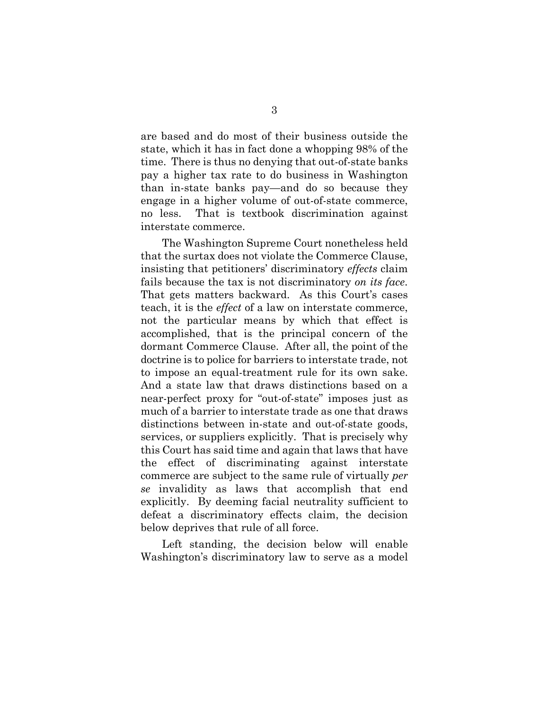are based and do most of their business outside the state, which it has in fact done a whopping 98% of the time. There is thus no denying that out-of-state banks pay a higher tax rate to do business in Washington than in-state banks pay—and do so because they engage in a higher volume of out-of-state commerce, no less. That is textbook discrimination against interstate commerce.

The Washington Supreme Court nonetheless held that the surtax does not violate the Commerce Clause, insisting that petitioners' discriminatory *effects* claim fails because the tax is not discriminatory *on its face*. That gets matters backward. As this Court's cases teach, it is the *effect* of a law on interstate commerce, not the particular means by which that effect is accomplished, that is the principal concern of the dormant Commerce Clause. After all, the point of the doctrine is to police for barriers to interstate trade, not to impose an equal-treatment rule for its own sake. And a state law that draws distinctions based on a near-perfect proxy for "out-of-state" imposes just as much of a barrier to interstate trade as one that draws distinctions between in-state and out-of-state goods, services, or suppliers explicitly. That is precisely why this Court has said time and again that laws that have the effect of discriminating against interstate commerce are subject to the same rule of virtually *per se* invalidity as laws that accomplish that end explicitly. By deeming facial neutrality sufficient to defeat a discriminatory effects claim, the decision below deprives that rule of all force.

Left standing, the decision below will enable Washington's discriminatory law to serve as a model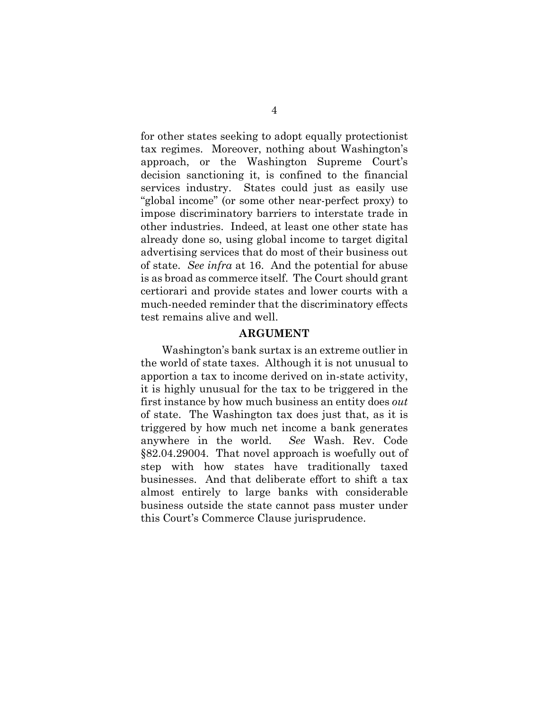for other states seeking to adopt equally protectionist tax regimes. Moreover, nothing about Washington's approach, or the Washington Supreme Court's decision sanctioning it, is confined to the financial services industry. States could just as easily use "global income" (or some other near-perfect proxy) to impose discriminatory barriers to interstate trade in other industries. Indeed, at least one other state has already done so, using global income to target digital advertising services that do most of their business out of state. *See infra* at 16. And the potential for abuse is as broad as commerce itself. The Court should grant certiorari and provide states and lower courts with a much-needed reminder that the discriminatory effects test remains alive and well.

#### **ARGUMENT**

Washington's bank surtax is an extreme outlier in the world of state taxes. Although it is not unusual to apportion a tax to income derived on in-state activity, it is highly unusual for the tax to be triggered in the first instance by how much business an entity does *out* of state. The Washington tax does just that, as it is triggered by how much net income a bank generates anywhere in the world. *See* Wash. Rev. Code §82.04.29004. That novel approach is woefully out of step with how states have traditionally taxed businesses. And that deliberate effort to shift a tax almost entirely to large banks with considerable business outside the state cannot pass muster under this Court's Commerce Clause jurisprudence.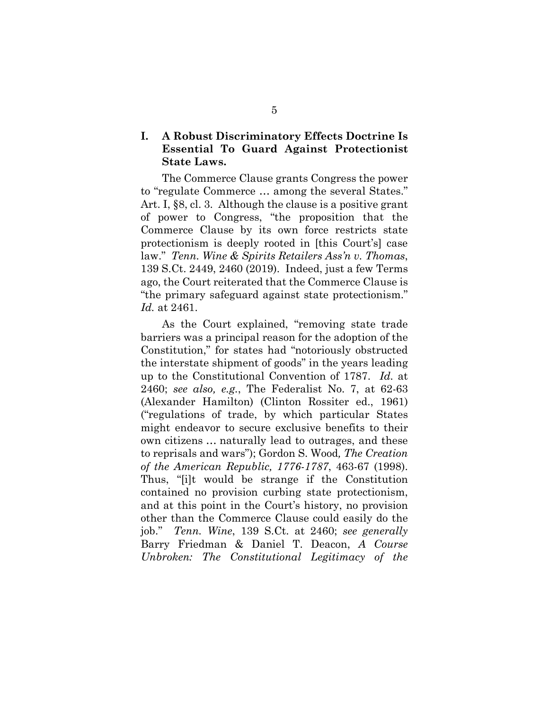## **I. A Robust Discriminatory Effects Doctrine Is Essential To Guard Against Protectionist State Laws.**

The Commerce Clause grants Congress the power to "regulate Commerce … among the several States." Art. I, §8, cl. 3. Although the clause is a positive grant of power to Congress, "the proposition that the Commerce Clause by its own force restricts state protectionism is deeply rooted in [this Court's] case law." *Tenn. Wine & Spirits Retailers Ass'n v. Thomas*, 139 S.Ct. 2449, 2460 (2019). Indeed, just a few Terms ago, the Court reiterated that the Commerce Clause is "the primary safeguard against state protectionism." *Id.* at 2461.

As the Court explained, "removing state trade barriers was a principal reason for the adoption of the Constitution," for states had "notoriously obstructed the interstate shipment of goods" in the years leading up to the Constitutional Convention of 1787. *Id.* at 2460; *see also, e.g.*, The Federalist No. 7, at 62-63 (Alexander Hamilton) (Clinton Rossiter ed., 1961) ("regulations of trade, by which particular States might endeavor to secure exclusive benefits to their own citizens … naturally lead to outrages, and these to reprisals and wars"); Gordon S. Wood*, The Creation of the American Republic, 1776-1787*, 463-67 (1998). Thus, "[i]t would be strange if the Constitution contained no provision curbing state protectionism, and at this point in the Court's history, no provision other than the Commerce Clause could easily do the job." *Tenn. Wine*, 139 S.Ct. at 2460; *see generally*  Barry Friedman & Daniel T. Deacon, *A Course Unbroken: The Constitutional Legitimacy of the*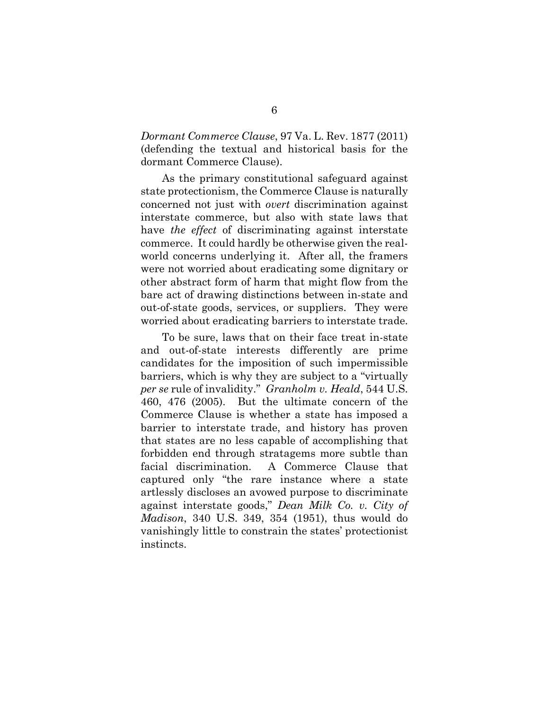*Dormant Commerce Clause*, 97 Va. L. Rev. 1877 (2011) (defending the textual and historical basis for the dormant Commerce Clause).

As the primary constitutional safeguard against state protectionism, the Commerce Clause is naturally concerned not just with *overt* discrimination against interstate commerce, but also with state laws that have *the effect* of discriminating against interstate commerce. It could hardly be otherwise given the realworld concerns underlying it. After all, the framers were not worried about eradicating some dignitary or other abstract form of harm that might flow from the bare act of drawing distinctions between in-state and out-of-state goods, services, or suppliers. They were worried about eradicating barriers to interstate trade.

To be sure, laws that on their face treat in-state and out-of-state interests differently are prime candidates for the imposition of such impermissible barriers, which is why they are subject to a "virtually *per se* rule of invalidity." *Granholm v. Heald*, 544 U.S. 460, 476 (2005). But the ultimate concern of the Commerce Clause is whether a state has imposed a barrier to interstate trade, and history has proven that states are no less capable of accomplishing that forbidden end through stratagems more subtle than facial discrimination. A Commerce Clause that captured only "the rare instance where a state artlessly discloses an avowed purpose to discriminate against interstate goods," *Dean Milk Co. v. City of Madison*, 340 U.S. 349, 354 (1951), thus would do vanishingly little to constrain the states' protectionist instincts.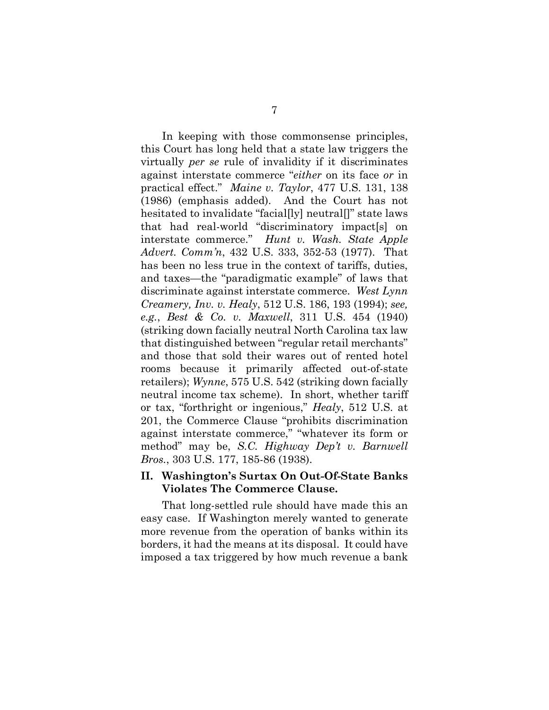In keeping with those commonsense principles, this Court has long held that a state law triggers the virtually *per se* rule of invalidity if it discriminates against interstate commerce "*either* on its face *or* in practical effect." *Maine v. Taylor*, 477 U.S. 131, 138 (1986) (emphasis added). And the Court has not hesitated to invalidate "facial[ly] neutral[]" state laws that had real-world "discriminatory impact[s] on interstate commerce." *Hunt v. Wash. State Apple Advert. Comm'n*, 432 U.S. 333, 352-53 (1977). That has been no less true in the context of tariffs, duties, and taxes—the "paradigmatic example" of laws that discriminate against interstate commerce. *West Lynn Creamery, Inv. v. Healy*, 512 U.S. 186, 193 (1994); *see, e.g.*, *Best & Co. v. Maxwell*, 311 U.S. 454 (1940) (striking down facially neutral North Carolina tax law that distinguished between "regular retail merchants" and those that sold their wares out of rented hotel rooms because it primarily affected out-of-state retailers); *Wynne*, 575 U.S. 542 (striking down facially neutral income tax scheme). In short, whether tariff or tax, "forthright or ingenious," *Healy*, 512 U.S. at 201, the Commerce Clause "prohibits discrimination against interstate commerce," "whatever its form or method" may be, *S.C. Highway Dep't v. Barnwell Bros.*, 303 U.S. 177, 185-86 (1938).

## **II. Washington's Surtax On Out-Of-State Banks Violates The Commerce Clause.**

That long-settled rule should have made this an easy case. If Washington merely wanted to generate more revenue from the operation of banks within its borders, it had the means at its disposal. It could have imposed a tax triggered by how much revenue a bank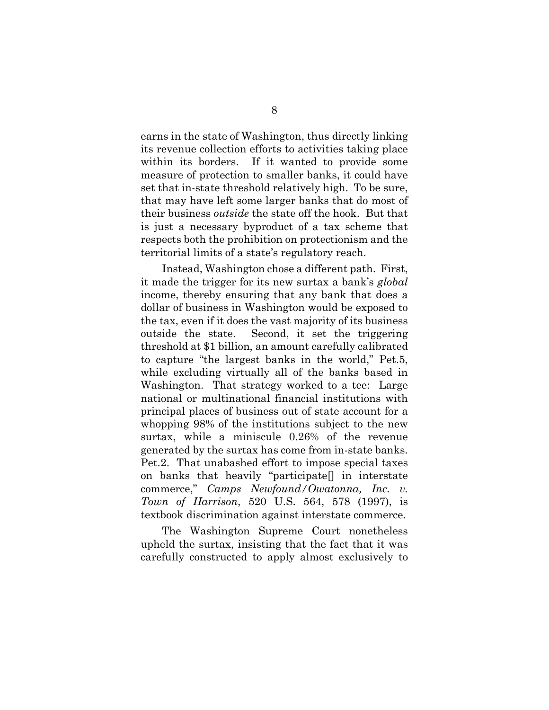earns in the state of Washington, thus directly linking its revenue collection efforts to activities taking place within its borders. If it wanted to provide some measure of protection to smaller banks, it could have set that in-state threshold relatively high. To be sure, that may have left some larger banks that do most of their business *outside* the state off the hook. But that is just a necessary byproduct of a tax scheme that respects both the prohibition on protectionism and the territorial limits of a state's regulatory reach.

Instead, Washington chose a different path. First, it made the trigger for its new surtax a bank's *global* income, thereby ensuring that any bank that does a dollar of business in Washington would be exposed to the tax, even if it does the vast majority of its business outside the state. Second, it set the triggering threshold at \$1 billion, an amount carefully calibrated to capture "the largest banks in the world," Pet.5, while excluding virtually all of the banks based in Washington. That strategy worked to a tee: Large national or multinational financial institutions with principal places of business out of state account for a whopping 98% of the institutions subject to the new surtax, while a miniscule 0.26% of the revenue generated by the surtax has come from in-state banks. Pet.2. That unabashed effort to impose special taxes on banks that heavily "participate[] in interstate commerce," *Camps Newfound/Owatonna, Inc. v. Town of Harrison*, 520 U.S. 564, 578 (1997), is textbook discrimination against interstate commerce.

The Washington Supreme Court nonetheless upheld the surtax, insisting that the fact that it was carefully constructed to apply almost exclusively to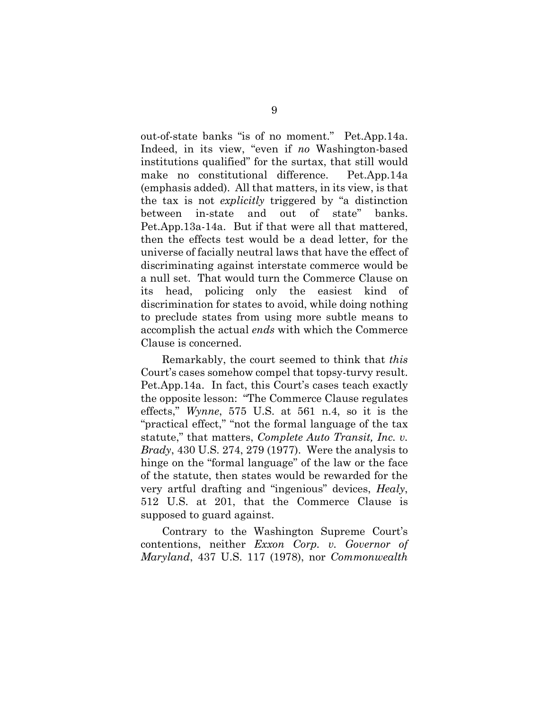out-of-state banks "is of no moment." Pet.App.14a. Indeed, in its view, "even if *no* Washington-based institutions qualified" for the surtax, that still would make no constitutional difference. Pet.App.14a (emphasis added). All that matters, in its view, is that the tax is not *explicitly* triggered by "a distinction between in-state and out of state" banks. Pet.App.13a-14a. But if that were all that mattered, then the effects test would be a dead letter, for the universe of facially neutral laws that have the effect of discriminating against interstate commerce would be a null set. That would turn the Commerce Clause on its head, policing only the easiest kind of discrimination for states to avoid, while doing nothing to preclude states from using more subtle means to accomplish the actual *ends* with which the Commerce Clause is concerned.

Remarkably, the court seemed to think that *this* Court's cases somehow compel that topsy-turvy result. Pet.App.14a. In fact, this Court's cases teach exactly the opposite lesson: "The Commerce Clause regulates effects," *Wynne*, 575 U.S. at 561 n.4, so it is the "practical effect," "not the formal language of the tax statute," that matters, *Complete Auto Transit, Inc. v. Brady*, 430 U.S. 274, 279 (1977). Were the analysis to hinge on the "formal language" of the law or the face of the statute, then states would be rewarded for the very artful drafting and "ingenious" devices, *Healy*, 512 U.S. at 201, that the Commerce Clause is supposed to guard against.

Contrary to the Washington Supreme Court's contentions, neither *Exxon Corp. v. Governor of Maryland*, 437 U.S. 117 (1978), nor *Commonwealth*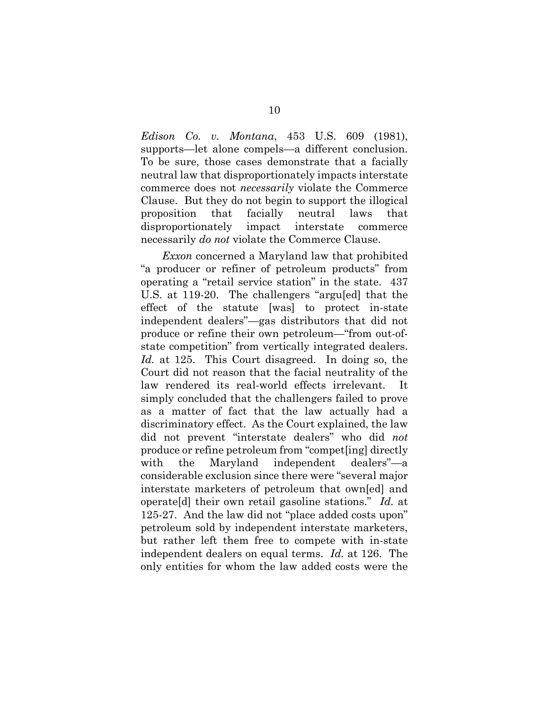*Edison Co. v. Montana*, 453 U.S. 609 (1981), supports—let alone compels—a different conclusion. To be sure, those cases demonstrate that a facially neutral law that disproportionately impacts interstate commerce does not *necessarily* violate the Commerce Clause. But they do not begin to support the illogical proposition that facially neutral laws that disproportionately impact interstate commerce necessarily *do not* violate the Commerce Clause.

*Exxon* concerned a Maryland law that prohibited "a producer or refiner of petroleum products" from operating a "retail service station" in the state. 437 U.S. at 119-20. The challengers "argu[ed] that the effect of the statute [was] to protect in-state independent dealers"—gas distributors that did not produce or refine their own petroleum—"from out-ofstate competition" from vertically integrated dealers. *Id.* at 125. This Court disagreed. In doing so, the Court did not reason that the facial neutrality of the law rendered its real-world effects irrelevant. It simply concluded that the challengers failed to prove as a matter of fact that the law actually had a discriminatory effect. As the Court explained, the law did not prevent "interstate dealers" who did *not* produce or refine petroleum from "compet[ing] directly with the Maryland independent dealers"—a considerable exclusion since there were "several major interstate marketers of petroleum that own[ed] and operate[d] their own retail gasoline stations." *Id.* at 125-27. And the law did not "place added costs upon" petroleum sold by independent interstate marketers, but rather left them free to compete with in-state independent dealers on equal terms. *Id.* at 126. The only entities for whom the law added costs were the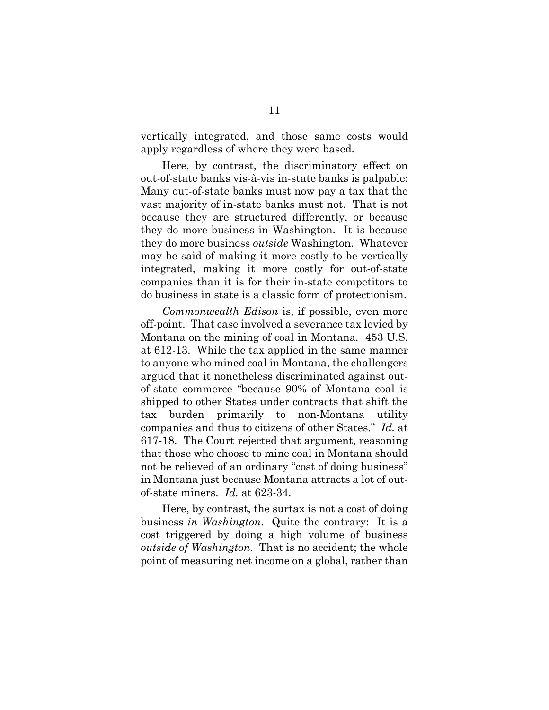vertically integrated, and those same costs would apply regardless of where they were based.

Here, by contrast, the discriminatory effect on out-of-state banks vis-à-vis in-state banks is palpable: Many out-of-state banks must now pay a tax that the vast majority of in-state banks must not. That is not because they are structured differently, or because they do more business in Washington. It is because they do more business *outside* Washington. Whatever may be said of making it more costly to be vertically integrated, making it more costly for out-of-state companies than it is for their in-state competitors to do business in state is a classic form of protectionism.

*Commonwealth Edison* is, if possible, even more off-point. That case involved a severance tax levied by Montana on the mining of coal in Montana. 453 U.S. at 612-13. While the tax applied in the same manner to anyone who mined coal in Montana, the challengers argued that it nonetheless discriminated against outof-state commerce "because 90% of Montana coal is shipped to other States under contracts that shift the tax burden primarily to non-Montana utility companies and thus to citizens of other States." *Id.* at 617-18. The Court rejected that argument, reasoning that those who choose to mine coal in Montana should not be relieved of an ordinary "cost of doing business" in Montana just because Montana attracts a lot of outof-state miners. *Id.* at 623-34.

Here, by contrast, the surtax is not a cost of doing business *in Washington*. Quite the contrary: It is a cost triggered by doing a high volume of business *outside of Washington*. That is no accident; the whole point of measuring net income on a global, rather than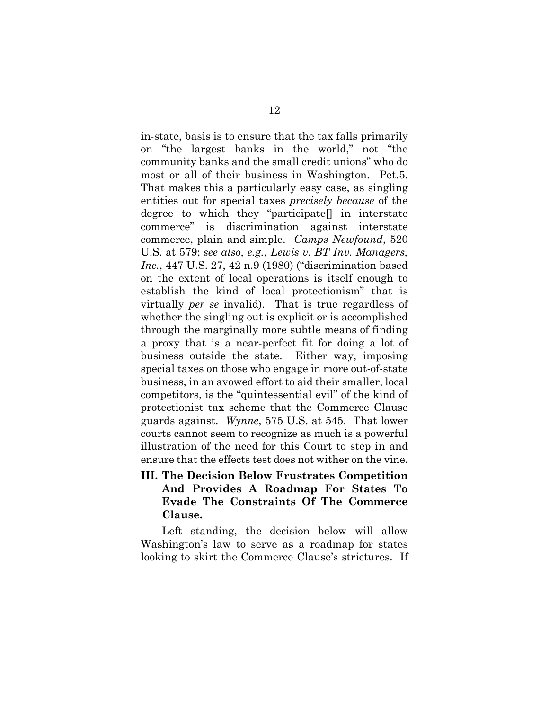in-state, basis is to ensure that the tax falls primarily on "the largest banks in the world," not "the community banks and the small credit unions" who do most or all of their business in Washington. Pet.5. That makes this a particularly easy case, as singling entities out for special taxes *precisely because* of the degree to which they "participate[] in interstate commerce" is discrimination against interstate commerce, plain and simple. *Camps Newfound*, 520 U.S. at 579; *see also, e.g.*, *Lewis v. BT Inv. Managers, Inc.*, 447 U.S. 27, 42 n.9 (1980) ("discrimination based on the extent of local operations is itself enough to establish the kind of local protectionism" that is virtually *per se* invalid). That is true regardless of whether the singling out is explicit or is accomplished through the marginally more subtle means of finding a proxy that is a near-perfect fit for doing a lot of business outside the state. Either way, imposing special taxes on those who engage in more out-of-state business, in an avowed effort to aid their smaller, local competitors, is the "quintessential evil" of the kind of protectionist tax scheme that the Commerce Clause guards against. *Wynne*, 575 U.S. at 545. That lower courts cannot seem to recognize as much is a powerful illustration of the need for this Court to step in and ensure that the effects test does not wither on the vine.

**III. The Decision Below Frustrates Competition And Provides A Roadmap For States To Evade The Constraints Of The Commerce Clause.** 

Left standing, the decision below will allow Washington's law to serve as a roadmap for states looking to skirt the Commerce Clause's strictures. If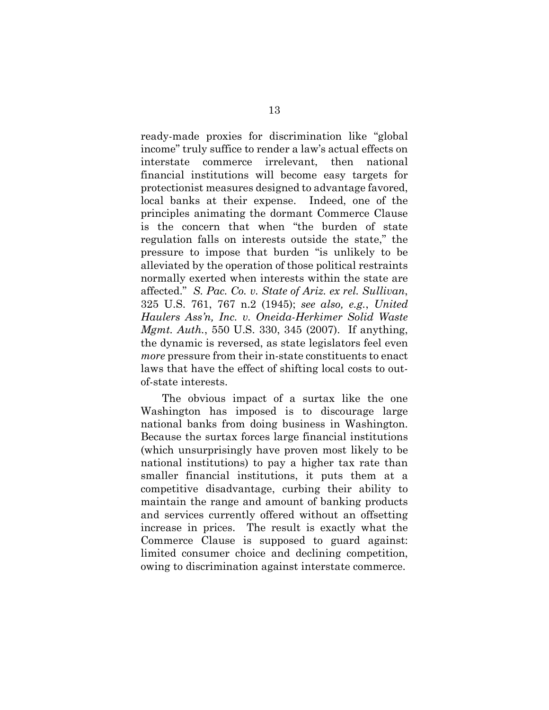ready-made proxies for discrimination like "global income" truly suffice to render a law's actual effects on interstate commerce irrelevant, then national financial institutions will become easy targets for protectionist measures designed to advantage favored, local banks at their expense. Indeed, one of the principles animating the dormant Commerce Clause is the concern that when "the burden of state regulation falls on interests outside the state," the pressure to impose that burden "is unlikely to be alleviated by the operation of those political restraints normally exerted when interests within the state are affected." *S. Pac. Co. v. State of Ariz. ex rel. Sullivan*, 325 U.S. 761, 767 n.2 (1945); *see also, e.g.*, *United Haulers Ass'n, Inc. v. Oneida-Herkimer Solid Waste Mgmt. Auth.*, 550 U.S. 330, 345 (2007). If anything, the dynamic is reversed, as state legislators feel even *more* pressure from their in-state constituents to enact laws that have the effect of shifting local costs to outof-state interests.

The obvious impact of a surtax like the one Washington has imposed is to discourage large national banks from doing business in Washington. Because the surtax forces large financial institutions (which unsurprisingly have proven most likely to be national institutions) to pay a higher tax rate than smaller financial institutions, it puts them at a competitive disadvantage, curbing their ability to maintain the range and amount of banking products and services currently offered without an offsetting increase in prices. The result is exactly what the Commerce Clause is supposed to guard against: limited consumer choice and declining competition, owing to discrimination against interstate commerce.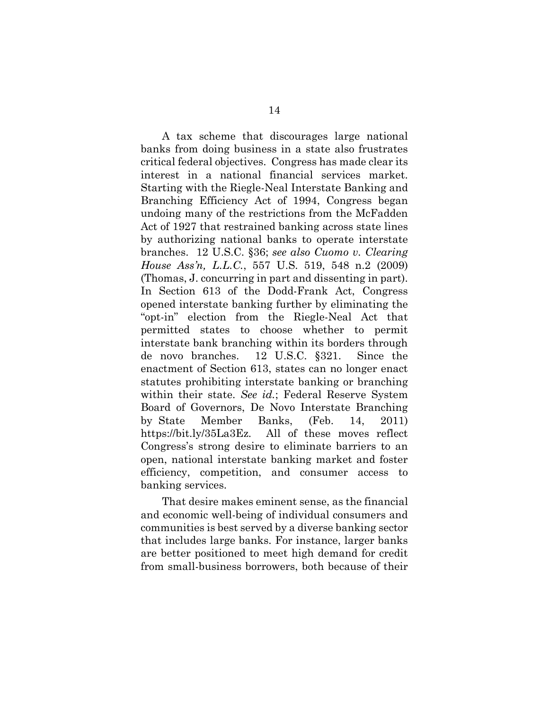A tax scheme that discourages large national banks from doing business in a state also frustrates critical federal objectives. Congress has made clear its interest in a national financial services market. Starting with the Riegle-Neal Interstate Banking and Branching Efficiency Act of 1994, Congress began undoing many of the restrictions from the McFadden Act of 1927 that restrained banking across state lines by authorizing national banks to operate interstate branches. 12 U.S.C. §36; *see also Cuomo v. Clearing House Ass'n, L.L.C.*, 557 U.S. 519, 548 n.2 (2009) (Thomas, J. concurring in part and dissenting in part). In Section 613 of the Dodd-Frank Act, Congress opened interstate banking further by eliminating the "opt-in" election from the Riegle-Neal Act that permitted states to choose whether to permit interstate bank branching within its borders through de novo branches. 12 U.S.C. §321. Since the enactment of Section 613, states can no longer enact statutes prohibiting interstate banking or branching within their state. *See id.*; Federal Reserve System Board of Governors, De Novo Interstate Branching by State Member Banks, (Feb. 14, 2011) https://bit.ly/35La3Ez. All of these moves reflect Congress's strong desire to eliminate barriers to an open, national interstate banking market and foster efficiency, competition, and consumer access to banking services.

That desire makes eminent sense, as the financial and economic well-being of individual consumers and communities is best served by a diverse banking sector that includes large banks. For instance, larger banks are better positioned to meet high demand for credit from small-business borrowers, both because of their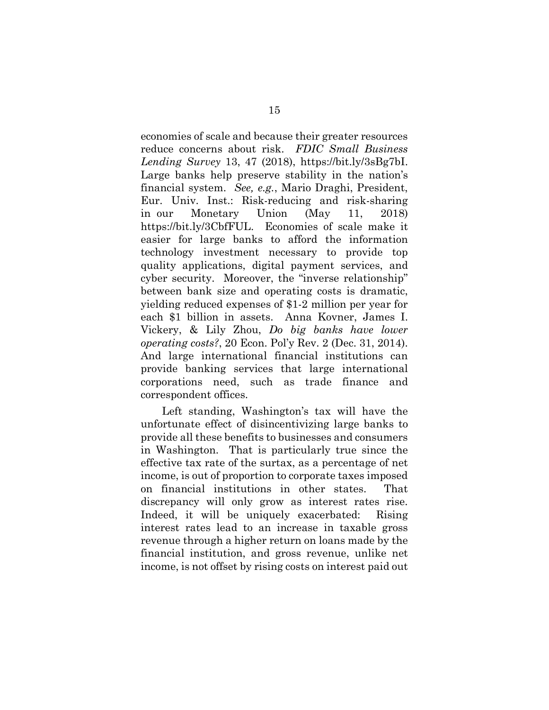economies of scale and because their greater resources reduce concerns about risk. *FDIC Small Business Lending Survey* 13, 47 (2018), [https://bit.ly/3sBg7bI.](https://bit.ly/3sBg7bI) Large banks help preserve stability in the nation's financial system. *See, e.g.*, Mario Draghi, President, Eur. Univ. Inst.: Risk-reducing and risk-sharing in our Monetary Union (May 11, 2018) https://bit.ly/3CbfFUL. Economies of scale make it easier for large banks to afford the information technology investment necessary to provide top quality applications, digital payment services, and cyber security. Moreover, the "inverse relationship" between bank size and operating costs is dramatic, yielding reduced expenses of \$1-2 million per year for each \$1 billion in assets. Anna Kovner, James I. Vickery, & Lily Zhou, *Do big banks have lower operating costs?*, 20 Econ. Pol'y Rev. 2 (Dec. 31, 2014). And large international financial institutions can provide banking services that large international corporations need, such as trade finance and correspondent offices.

Left standing, Washington's tax will have the unfortunate effect of disincentivizing large banks to provide all these benefits to businesses and consumers in Washington. That is particularly true since the effective tax rate of the surtax, as a percentage of net income, is out of proportion to corporate taxes imposed on financial institutions in other states. That discrepancy will only grow as interest rates rise. Indeed, it will be uniquely exacerbated: Rising interest rates lead to an increase in taxable gross revenue through a higher return on loans made by the financial institution, and gross revenue, unlike net income, is not offset by rising costs on interest paid out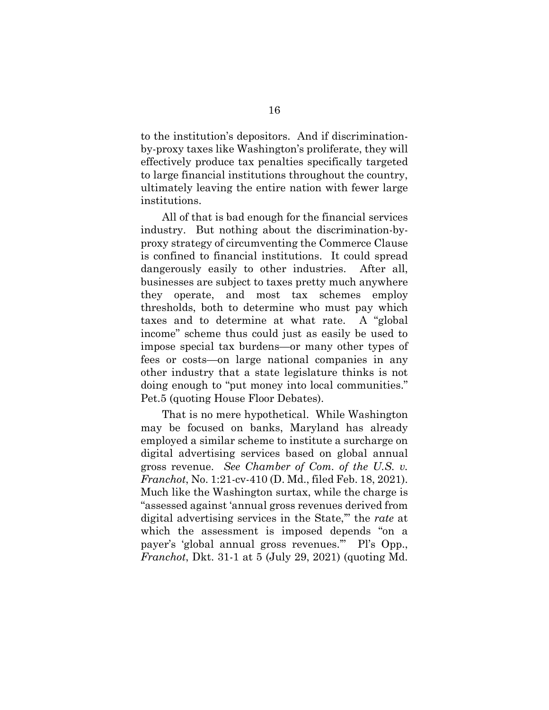to the institution's depositors. And if discriminationby-proxy taxes like Washington's proliferate, they will effectively produce tax penalties specifically targeted to large financial institutions throughout the country, ultimately leaving the entire nation with fewer large institutions.

All of that is bad enough for the financial services industry. But nothing about the discrimination-byproxy strategy of circumventing the Commerce Clause is confined to financial institutions. It could spread dangerously easily to other industries. After all, businesses are subject to taxes pretty much anywhere they operate, and most tax schemes employ thresholds, both to determine who must pay which taxes and to determine at what rate. A "global income" scheme thus could just as easily be used to impose special tax burdens—or many other types of fees or costs—on large national companies in any other industry that a state legislature thinks is not doing enough to "put money into local communities." Pet.5 (quoting House Floor Debates).

That is no mere hypothetical. While Washington may be focused on banks, Maryland has already employed a similar scheme to institute a surcharge on digital advertising services based on global annual gross revenue. *See Chamber of Com. of the U.S. v. Franchot*, No. 1:21-cv-410 (D. Md., filed Feb. 18, 2021). Much like the Washington surtax, while the charge is "assessed against 'annual gross revenues derived from digital advertising services in the State,'" the *rate* at which the assessment is imposed depends "on a payer's 'global annual gross revenues.'" Pl's Opp., *Franchot*, Dkt. 31-1 at 5 (July 29, 2021) (quoting Md.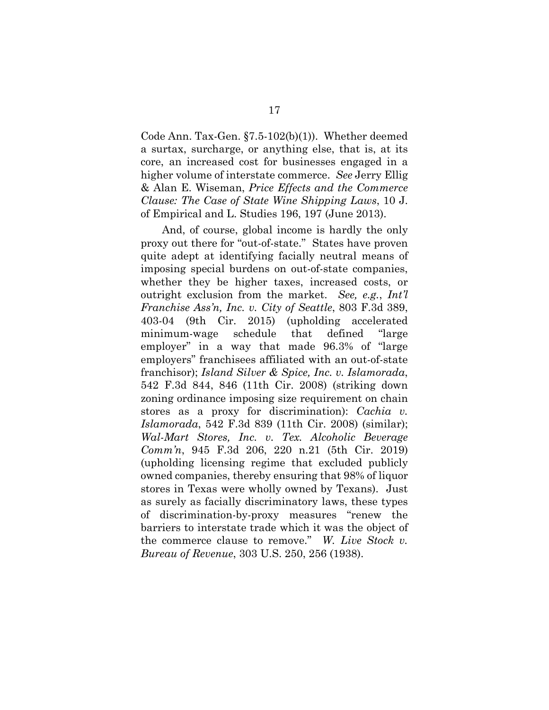Code Ann. Tax-Gen. §7.5-102(b)(1)). Whether deemed a surtax, surcharge, or anything else, that is, at its core, an increased cost for businesses engaged in a higher volume of interstate commerce. *See* Jerry Ellig & Alan E. Wiseman, *Price Effects and the Commerce Clause: The Case of State Wine Shipping Laws*, 10 J. of Empirical and L. Studies 196, 197 (June 2013).

And, of course, global income is hardly the only proxy out there for "out-of-state." States have proven quite adept at identifying facially neutral means of imposing special burdens on out-of-state companies, whether they be higher taxes, increased costs, or outright exclusion from the market. *See, e.g.*, *Int'l Franchise Ass'n, Inc. v. City of Seattle*, 803 F.3d 389, 403-04 (9th Cir. 2015) (upholding accelerated minimum-wage schedule that defined "large employer" in a way that made 96.3% of "large employers" franchisees affiliated with an out-of-state franchisor); *Island Silver & Spice, Inc. v. Islamorada*, 542 F.3d 844, 846 (11th Cir. 2008) (striking down zoning ordinance imposing size requirement on chain stores as a proxy for discrimination): *Cachia v. Islamorada*, 542 F.3d 839 (11th Cir. 2008) (similar); *Wal-Mart Stores, Inc. v. Tex. Alcoholic Beverage Comm'n*, 945 F.3d 206, 220 n.21 (5th Cir. 2019) (upholding licensing regime that excluded publicly owned companies, thereby ensuring that 98% of liquor stores in Texas were wholly owned by Texans). Just as surely as facially discriminatory laws, these types of discrimination-by-proxy measures "renew the barriers to interstate trade which it was the object of the commerce clause to remove." *W. Live Stock v. Bureau of Revenue*, 303 U.S. 250, 256 (1938).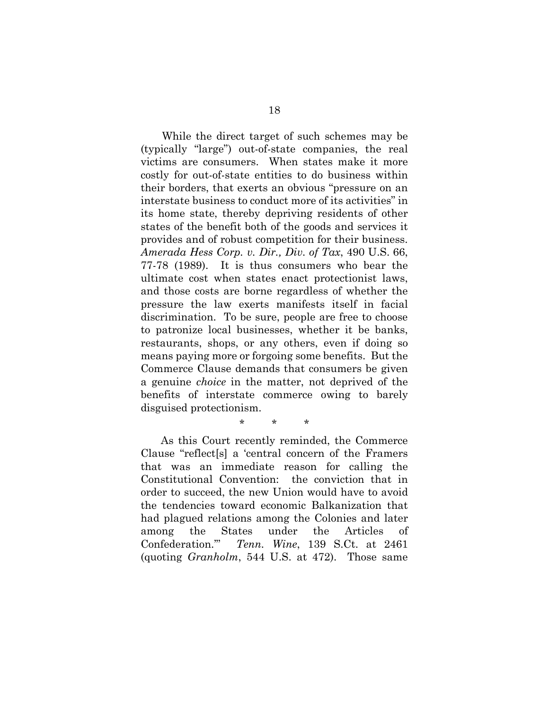While the direct target of such schemes may be (typically "large") out-of-state companies, the real victims are consumers. When states make it more costly for out-of-state entities to do business within their borders, that exerts an obvious "pressure on an interstate business to conduct more of its activities" in its home state, thereby depriving residents of other states of the benefit both of the goods and services it provides and of robust competition for their business. *Amerada Hess Corp. v. Dir., Div. of Tax*, 490 U.S. 66, 77-78 (1989). It is thus consumers who bear the ultimate cost when states enact protectionist laws, and those costs are borne regardless of whether the pressure the law exerts manifests itself in facial discrimination. To be sure, people are free to choose to patronize local businesses, whether it be banks, restaurants, shops, or any others, even if doing so means paying more or forgoing some benefits. But the Commerce Clause demands that consumers be given a genuine *choice* in the matter, not deprived of the benefits of interstate commerce owing to barely disguised protectionism.

## \* \* \*

As this Court recently reminded, the Commerce Clause "reflect[s] a 'central concern of the Framers that was an immediate reason for calling the Constitutional Convention: the conviction that in order to succeed, the new Union would have to avoid the tendencies toward economic Balkanization that had plagued relations among the Colonies and later among the States under the Articles of Confederation.'" *Tenn. Wine*, 139 S.Ct. at 2461 (quoting *Granholm*, 544 U.S. at 472). Those same